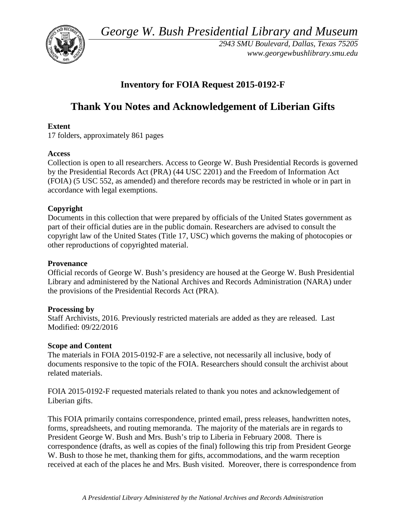*George W. Bush Presidential Library and Museum* 



 *2943 SMU Boulevard, Dallas, Texas 75205 <www.georgewbushlibrary.smu.edu>*

## **Inventory for FOIA Request 2015-0192-F**

# **Thank You Notes and Acknowledgement of Liberian Gifts**

### **Extent**

17 folders, approximately 861 pages

#### **Access**

 by the Presidential Records Act (PRA) (44 USC 2201) and the Freedom of Information Act Collection is open to all researchers. Access to George W. Bush Presidential Records is governed (FOIA) (5 USC 552, as amended) and therefore records may be restricted in whole or in part in accordance with legal exemptions.

#### **Copyright**

 Documents in this collection that were prepared by officials of the United States government as part of their official duties are in the public domain. Researchers are advised to consult the copyright law of the United States (Title 17, USC) which governs the making of photocopies or other reproductions of copyrighted material.

#### **Provenance**

 Official records of George W. Bush's presidency are housed at the George W. Bush Presidential Library and administered by the National Archives and Records Administration (NARA) under the provisions of the Presidential Records Act (PRA).

#### **Processing by**

 Staff Archivists, 2016. Previously restricted materials are added as they are released. Last Modified: 09/22/2016

#### **Scope and Content**

The materials in FOIA 2015-0192-F are a selective, not necessarily all inclusive, body of documents responsive to the topic of the FOIA. Researchers should consult the archivist about related materials.

FOIA 2015-0192-F requested materials related to thank you notes and acknowledgement of Liberian gifts.

 received at each of the places he and Mrs. Bush visited. Moreover, there is correspondence from This FOIA primarily contains correspondence, printed email, press releases, handwritten notes, forms, spreadsheets, and routing memoranda. The majority of the materials are in regards to President George W. Bush and Mrs. Bush's trip to Liberia in February 2008. There is correspondence (drafts, as well as copies of the final) following this trip from President George W. Bush to those he met, thanking them for gifts, accommodations, and the warm reception